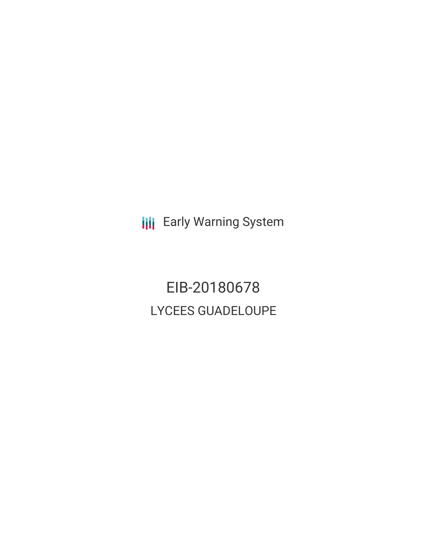**III** Early Warning System

EIB-20180678 LYCEES GUADELOUPE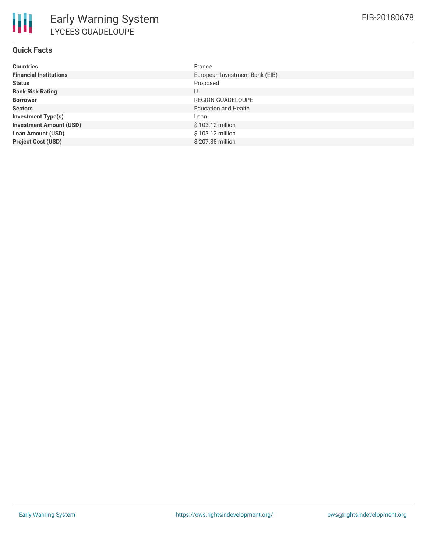# **Quick Facts**

| <b>Countries</b>               | France                         |
|--------------------------------|--------------------------------|
| <b>Financial Institutions</b>  | European Investment Bank (EIB) |
| <b>Status</b>                  | Proposed                       |
| <b>Bank Risk Rating</b>        | U                              |
| <b>Borrower</b>                | REGION GUADELOUPE              |
| <b>Sectors</b>                 | <b>Education and Health</b>    |
| <b>Investment Type(s)</b>      | Loan                           |
| <b>Investment Amount (USD)</b> | $$103.12$ million              |
| <b>Loan Amount (USD)</b>       | \$103.12 million               |
| <b>Project Cost (USD)</b>      | \$207.38 million               |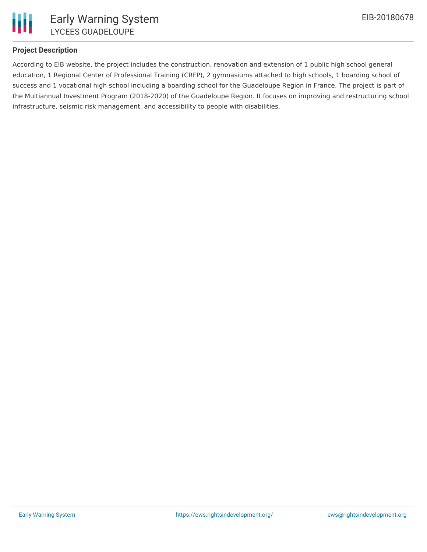

### **Project Description**

According to EIB website, the project includes the construction, renovation and extension of 1 public high school general education, 1 Regional Center of Professional Training (CRFP), 2 gymnasiums attached to high schools, 1 boarding school of success and 1 vocational high school including a boarding school for the Guadeloupe Region in France. The project is part of the Multiannual Investment Program (2018-2020) of the Guadeloupe Region. It focuses on improving and restructuring school infrastructure, seismic risk management, and accessibility to people with disabilities.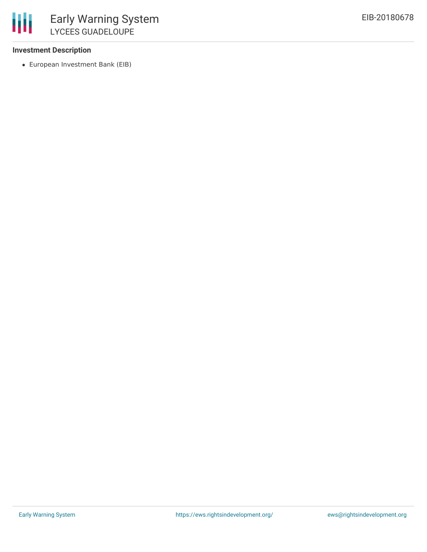#### **Investment Description**

European Investment Bank (EIB)